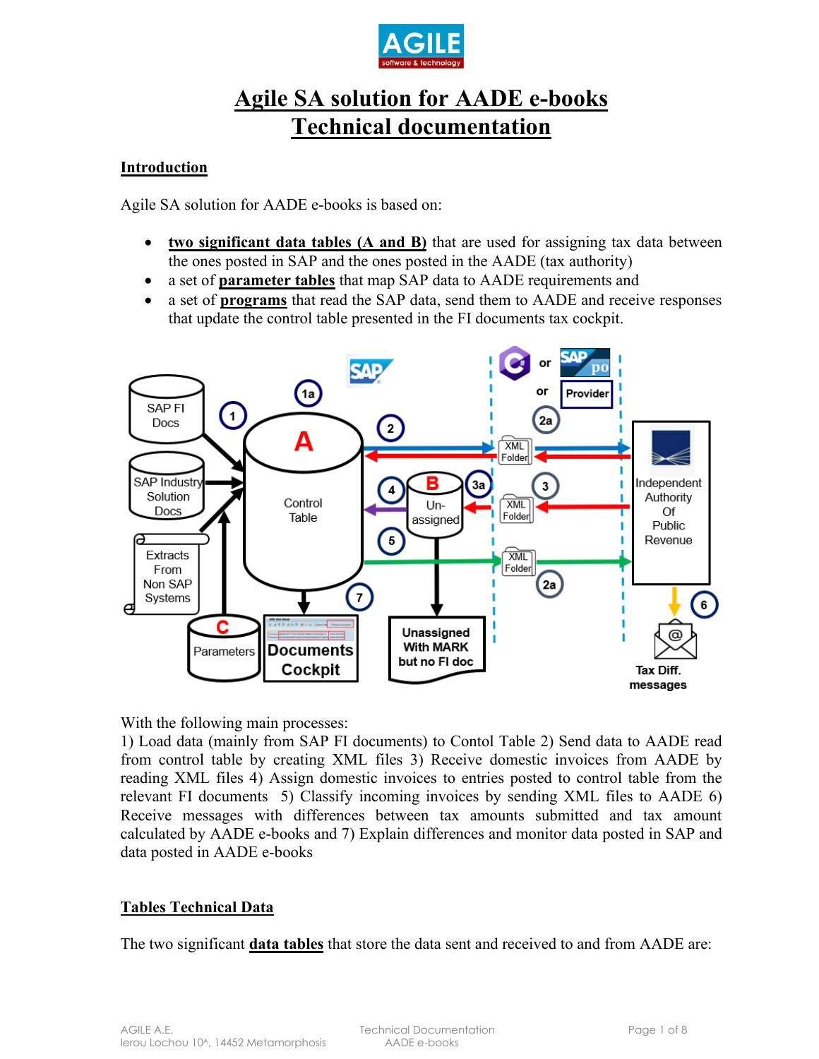

# **Agile SA solution for AADE e-books Technical documentation**

#### **Introduction**

Agile SA solution for AADE e-books is based on:

- **two significant data tables (A and B)** that are used for assigning tax data between the ones posted in SAP and the ones posted in the AADE (tax authority)
- a set of **parameter tables** that map SAP data to AADE requirements and
- a set of **programs** that read the SAP data, send them to AADE and receive responses that update the control table presented in the FI documents tax cockpit.



With the following main processes:

1) Load data (mainly from SAP FI documents) to Contol Table 2) Send data to AADE read from control table by creating XML files 3) Receive domestic invoices from AADE by reading XML files 4) Assign domestic invoices to entries posted to control table from the relevant FI documents 5) Classify incoming invoices by sending XML files to AADE 6) Receive messages with differences between tax amounts submitted and tax amount calculated by AADE e-books and 7) Explain differences and monitor data posted in SAP and data posted in AADE e-books

#### **Tables Technical Data**

The two significant **data tables** that store the data sent and received to and from AADE are: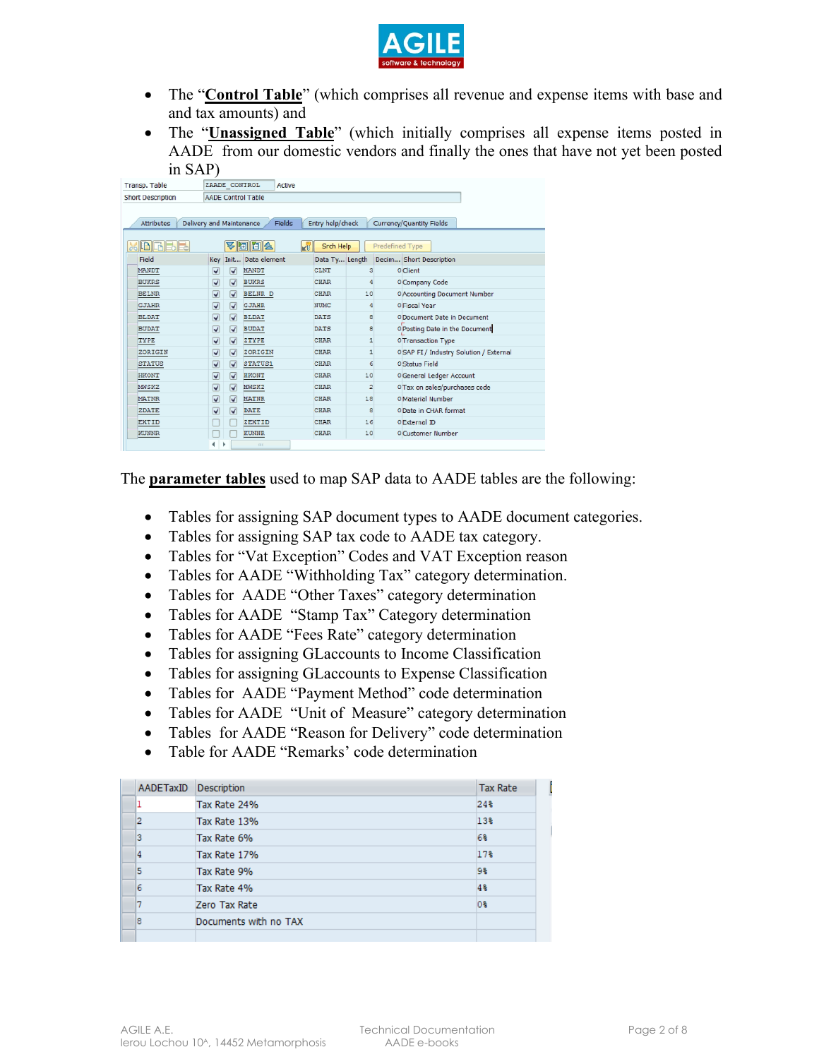

- The "**Control Table**" (which comprises all revenue and expense items with base and and tax amounts) and
- The "**Unassigned Table**" (which initially comprises all expense items posted in AADE from our domestic vendors and finally the ones that have not yet been posted in SAP)

| Transp. Table                                                                                           | ZAADE CONTROL<br>Active |                      |                   |                |                 |  |                                         |  |  |  |
|---------------------------------------------------------------------------------------------------------|-------------------------|----------------------|-------------------|----------------|-----------------|--|-----------------------------------------|--|--|--|
| <b>AADE Control Table</b><br><b>Short Description</b>                                                   |                         |                      |                   |                |                 |  |                                         |  |  |  |
|                                                                                                         |                         |                      |                   |                |                 |  |                                         |  |  |  |
| Entry help/check<br>Currency/Quantity Fields<br><b>Attributes</b><br>Delivery and Maintenance<br>Fields |                         |                      |                   |                |                 |  |                                         |  |  |  |
|                                                                                                         |                         |                      |                   |                |                 |  |                                         |  |  |  |
| XDBBB                                                                                                   |                         | 多问问会<br><b>India</b> | Srch Help         |                | Predefined Type |  |                                         |  |  |  |
| Field                                                                                                   | Kev                     |                      | Init Data element | Data Ty Length |                 |  | Decim Short Description                 |  |  |  |
| <b>MANDT</b>                                                                                            | V                       | √                    | <b>MANDT</b>      | <b>CLNT</b>    | 3               |  | 0 Client                                |  |  |  |
| <b>BUKRS</b>                                                                                            | ⊽                       | ⊽                    | <b>BUKRS</b>      | <b>CHAR</b>    | 4               |  | 0 Company Code                          |  |  |  |
| <b>BELNR</b>                                                                                            | ⊽                       | ⊽                    | <b>BELNR D</b>    | <b>CHAR</b>    | 10              |  | O Accounting Document Number            |  |  |  |
| <b>GJAHR</b>                                                                                            | ⊽                       | ⊽                    | GJAHR             | <b>NUMC</b>    | 4               |  | 0 Fiscal Year                           |  |  |  |
| <b>BLDAT</b>                                                                                            | $\overline{\mathsf{v}}$ | ⊽                    | <b>BLDAT</b>      | DATS           | 8               |  | <b>O Document Date in Document</b>      |  |  |  |
| <b>BUDAT</b>                                                                                            | ⊽                       | ⊽                    | <b>BUDAT</b>      | <b>DATS</b>    | 8               |  | O Posting Date in the Document          |  |  |  |
| TYPE                                                                                                    | ⊽                       | ⊽                    | ZTYPE             | <b>CHAR</b>    | $\mathbf{1}$    |  | 0 Transaction Type                      |  |  |  |
| ZORIGIN                                                                                                 | ⊽                       | ⊽                    | ZORIGIN           | <b>CHAR</b>    | $\mathbf{1}$    |  | 0 SAP FI / Industry Solution / External |  |  |  |
| <b>STATUS</b>                                                                                           | $\blacktriangledown$    | ⊽                    | STATUS1           | <b>CHAR</b>    | 6               |  | 0 Status Field                          |  |  |  |
| <b>HKONT</b>                                                                                            | ⊽                       | ⊽                    | <b>HKONT</b>      | <b>CHAR</b>    | 10              |  | 0 General Ledger Account                |  |  |  |
| <b>MWSK2</b>                                                                                            | $\overline{\mathsf{v}}$ | ⊽                    | <b>MWSKZ</b>      | <b>CHAR</b>    | $\overline{2}$  |  | 0 Tax on sales/purchases code           |  |  |  |
| <b>MATNR</b>                                                                                            | ⊽                       | ⊽                    | <b>MATNR</b>      | <b>CHAR</b>    | 18              |  | 0 Material Number                       |  |  |  |
| <b>ZDATE</b>                                                                                            | $\overline{\mathsf{v}}$ | ⊽                    | DATE              | <b>CHAR</b>    | 8               |  | 0 Date in CHAR format                   |  |  |  |
| <b>EXTID</b>                                                                                            |                         |                      | ZEXTID            | <b>CHAR</b>    | 16              |  | 0 External ID                           |  |  |  |
| <b>KUNNR</b>                                                                                            |                         |                      | <b>KUNNR</b>      | <b>CHAR</b>    | 10              |  | 0 Customer Number                       |  |  |  |
|                                                                                                         | $\blacksquare$          | ۱                    | $\frac{1}{2}$     |                |                 |  |                                         |  |  |  |

The **parameter tables** used to map SAP data to AADE tables are the following:

- Tables for assigning SAP document types to AADE document categories.
- Tables for assigning SAP tax code to AADE tax category.
- Tables for "Vat Exception" Codes and VAT Exception reason
- Tables for AADE "Withholding Tax" category determination.
- Tables for AADE "Other Taxes" category determination
- Tables for AADE "Stamp Tax" Category determination
- Tables for AADE "Fees Rate" category determination
- Tables for assigning GLaccounts to Income Classification
- Tables for assigning GLaccounts to Expense Classification
- Tables for AADE "Payment Method" code determination
- Tables for AADE "Unit of Measure" category determination
- Tables for AADE "Reason for Delivery" code determination
- Table for AADE "Remarks' code determination

| AADETaxID | Description           | <b>Tax Rate</b> |
|-----------|-----------------------|-----------------|
|           | Tax Rate 24%          | 24%             |
| 12        | Tax Rate 13%          | 13%             |
| 3         | Tax Rate 6%           | 6%              |
| 14        | Tax Rate 17%          | 17%             |
| 15        | Tax Rate 9%           | 9%              |
| 6         | Tax Rate 4%           | 4%              |
| 7         | Zero Tax Rate         | l0 %            |
| 8         | Documents with no TAX |                 |
|           |                       |                 |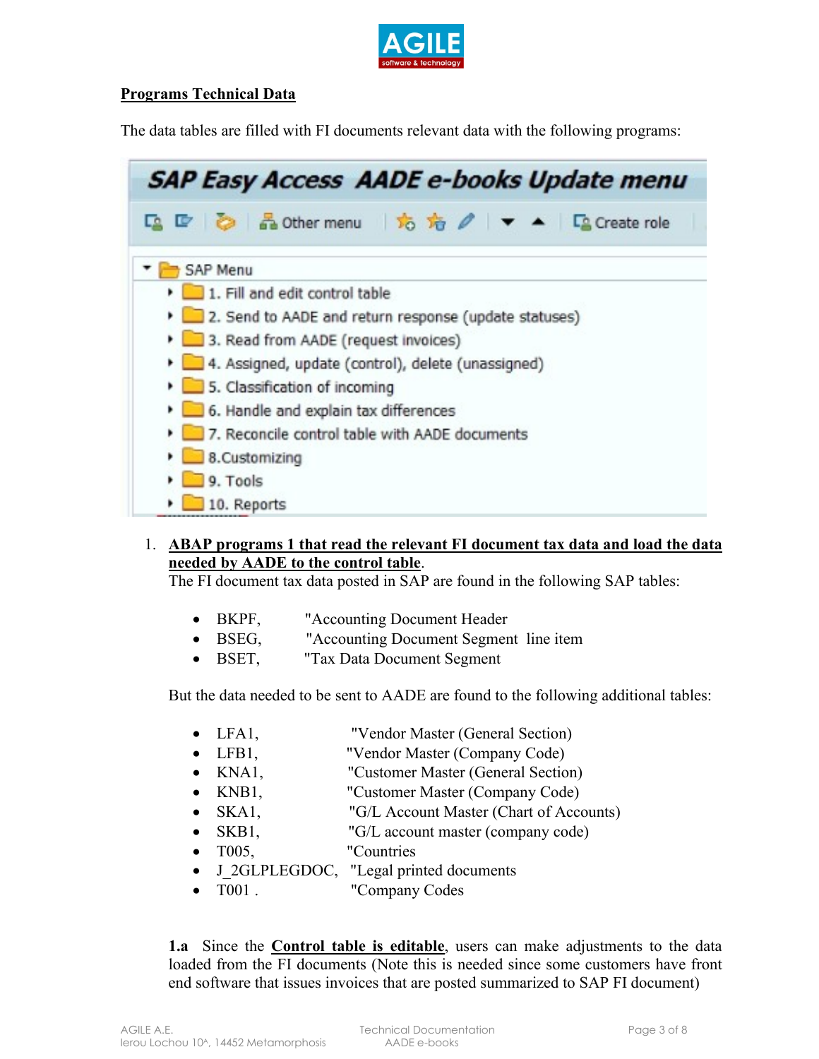

#### **Programs Technical Data**

The data tables are filled with FI documents relevant data with the following programs:

| <b>SAP Easy Access AADE e-books Update menu</b>                 |  |  |  |  |  |  |
|-----------------------------------------------------------------|--|--|--|--|--|--|
| <b>Q D B Bother menu</b> bo 方 / ▼ ▲ D Create role               |  |  |  |  |  |  |
| SAP Menu                                                        |  |  |  |  |  |  |
| 1. Fill and edit control table                                  |  |  |  |  |  |  |
| > 2. Send to AADE and return response (update statuses)         |  |  |  |  |  |  |
| 3. Read from AADE (request invoices)                            |  |  |  |  |  |  |
| 4. Assigned, update (control), delete (unassigned)<br>$\cdot$ 1 |  |  |  |  |  |  |
| 5. Classification of incoming                                   |  |  |  |  |  |  |
| 6. Handle and explain tax differences                           |  |  |  |  |  |  |
| 7. Reconcile control table with AADE documents                  |  |  |  |  |  |  |
| $8.$ Customizing                                                |  |  |  |  |  |  |
| $\Box$ 9. Tools                                                 |  |  |  |  |  |  |
| $10.$ Reports                                                   |  |  |  |  |  |  |

#### 1. **ABAP programs 1 that read the relevant FI document tax data and load the data needed by AADE to the control table**.

The FI document tax data posted in SAP are found in the following SAP tables:

- BKPF, "Accounting Document Header
- BSEG, "Accounting Document Segment line item
- BSET, "Tax Data Document Segment

But the data needed to be sent to AADE are found to the following additional tables:

- LFA1, "Vendor Master (General Section)
- LFB1, "Vendor Master (Company Code)
- KNA1, "Customer Master (General Section)
- KNB1, "Customer Master (Company Code)
- SKA1, "G/L Account Master (Chart of Accounts)
- SKB1, "G/L account master (company code)
- T005, "Countries
- J\_2GLPLEGDOC, "Legal printed documents
- T001. "Company Codes"

**1.a** Since the **Control table is editable**, users can make adjustments to the data loaded from the FI documents (Note this is needed since some customers have front end software that issues invoices that are posted summarized to SAP FI document)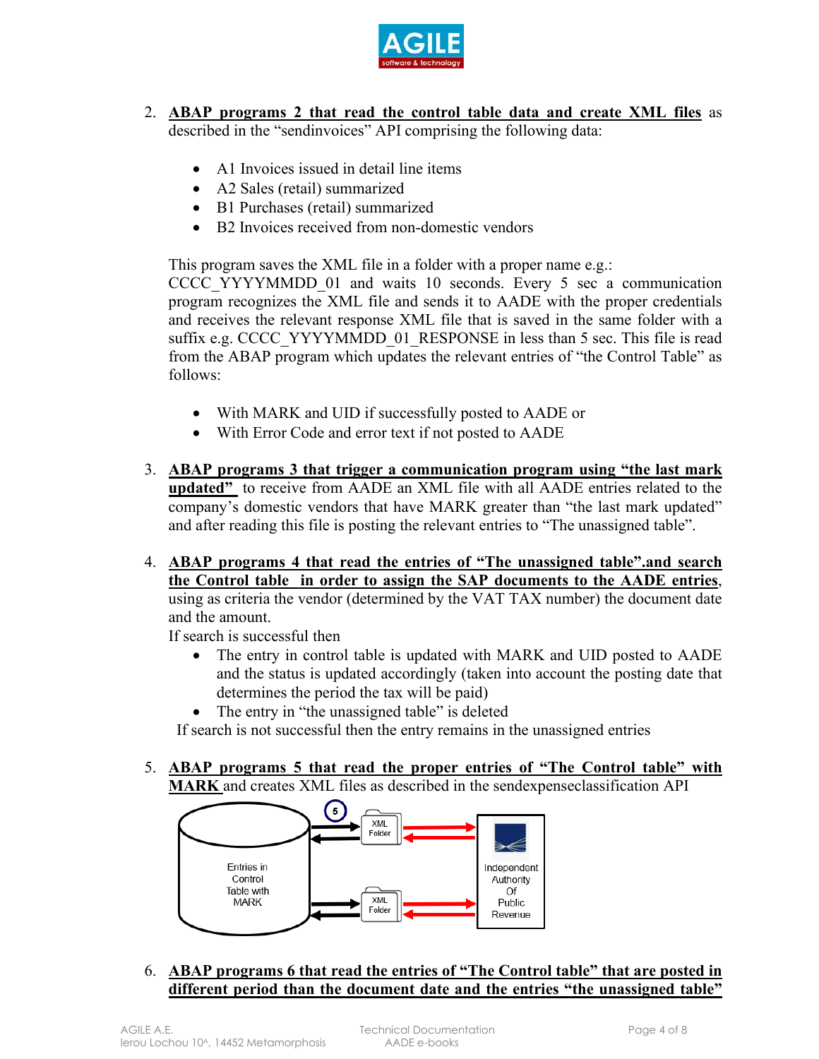

- 2. **ABAP programs 2 that read the control table data and create XML files** as described in the "sendinvoices" API comprising the following data:
	- A1 Invoices issued in detail line items
	- A2 Sales (retail) summarized
	- B1 Purchases (retail) summarized
	- B2 Invoices received from non-domestic vendors

This program saves the XML file in a folder with a proper name e.g.:

CCCC YYYYMMDD 01 and waits 10 seconds. Every 5 sec a communication program recognizes the XML file and sends it to AADE with the proper credentials and receives the relevant response XML file that is saved in the same folder with a suffix e.g. CCCC\_YYYYMMDD\_01\_RESPONSE in less than 5 sec. This file is read from the ABAP program which updates the relevant entries of "the Control Table" as follows:

- With MARK and UID if successfully posted to AADE or
- With Error Code and error text if not posted to AADE
- 3. **ABAP programs 3 that trigger a communication program using "the last mark updated"** to receive from AADE an XML file with all AADE entries related to the company's domestic vendors that have MARK greater than "the last mark updated" and after reading this file is posting the relevant entries to "The unassigned table".
- 4. **ABAP programs 4 that read the entries of "The unassigned table".and search the Control table in order to assign the SAP documents to the AADE entries**, using as criteria the vendor (determined by the VAT TAX number) the document date and the amount.

If search is successful then

- The entry in control table is updated with MARK and UID posted to AADE and the status is updated accordingly (taken into account the posting date that determines the period the tax will be paid)
- The entry in "the unassigned table" is deleted

If search is not successful then the entry remains in the unassigned entries

5. **ABAP programs 5 that read the proper entries of "The Control table" with MARK** and creates XML files as described in the sendexpenseclassification API



6. **ABAP programs 6 that read the entries of "The Control table" that are posted in different period than the document date and the entries "the unassigned table"**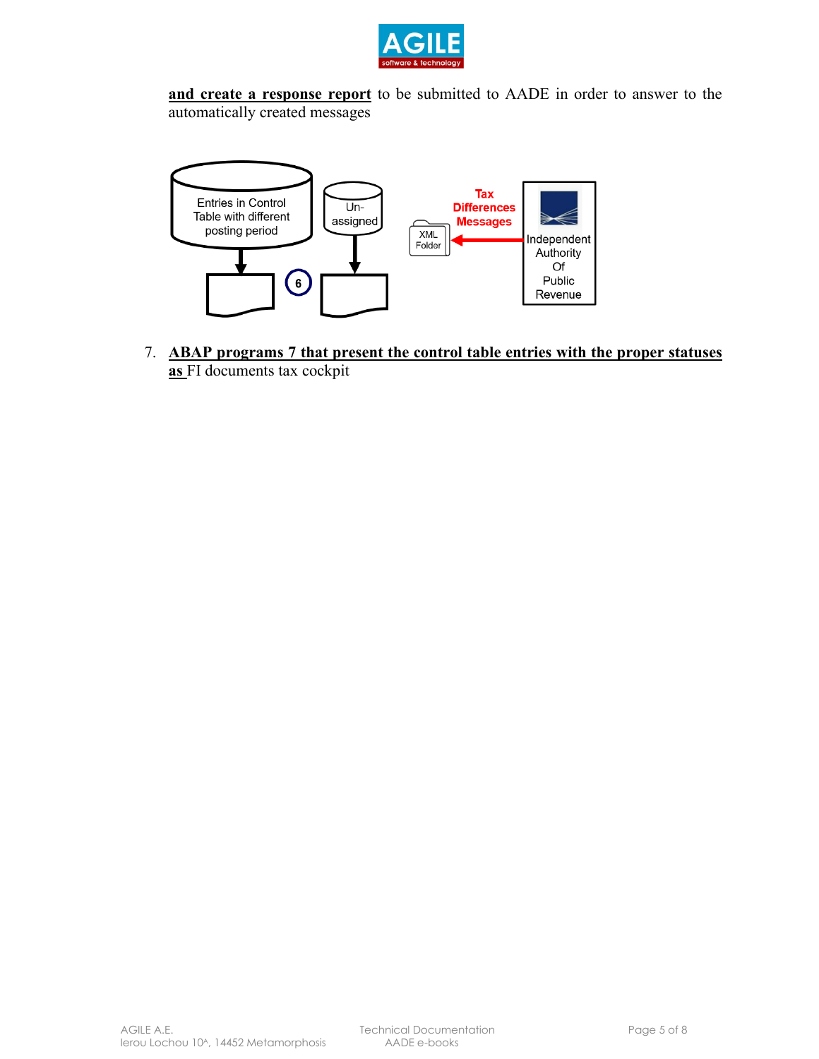

**and create a response report** to be submitted to AADE in order to answer to the automatically created messages



7. **ABAP programs 7 that present the control table entries with the proper statuses as** FI documents tax cockpit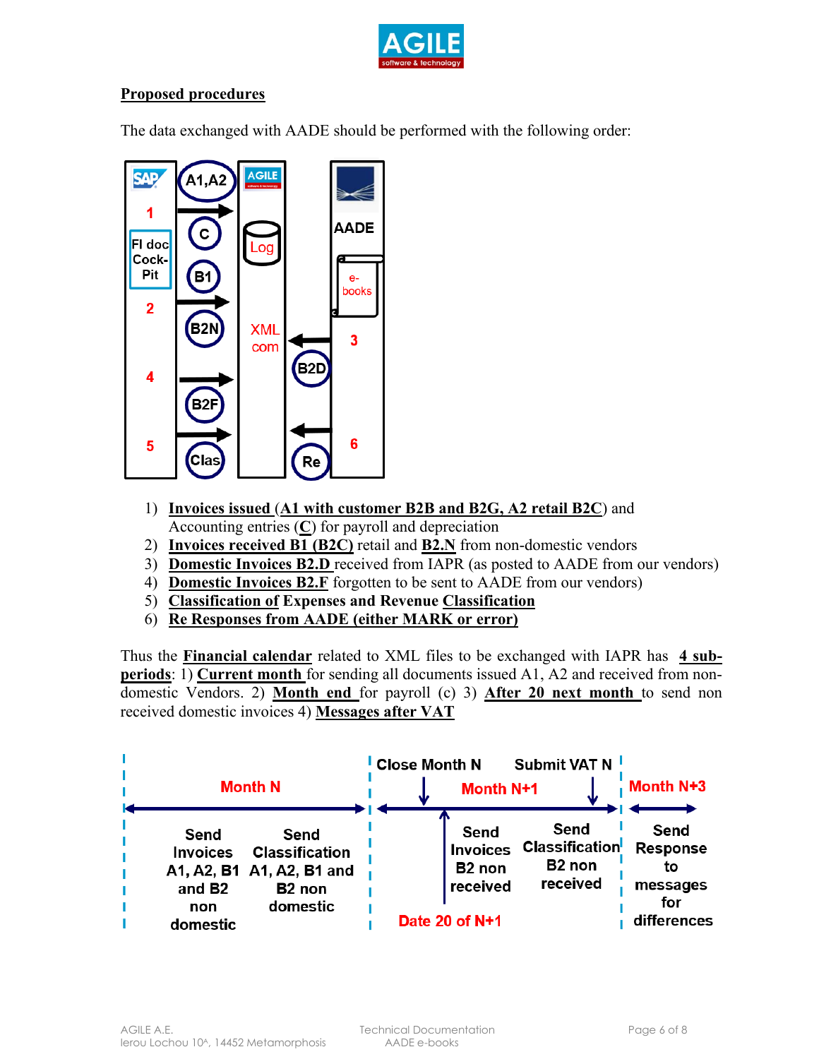

### **Proposed procedures**

The data exchanged with AADE should be performed with the following order:



- 1) **Invoices issued** (**Α1 with customer B2B and B2G, Α2 retail B2C**) and Accounting entries (**C**) for payroll and depreciation
- 2) **Invoices received B1 (B2C)** retail and **Β2.N** from non-domestic vendors
- 3) **Domestic Invoices B2.D** received from IAPR (as posted to AADE from our vendors)
- 4) **Domestic Invoices B2.F** forgotten to be sent to AADE from our vendors)
- 5) **Classification of Expenses and Revenue Classification**
- 6) **Re Responses from AADE (either MARK or error)**

Thus the **Financial calendar** related to XML files to be exchanged with IAPR has **4 subperiods**: 1) **Current month** for sending all documents issued A1, A2 and received from nondomestic Vendors. 2) **Month end** for payroll (c) 3) **After 20 next month** to send non received domestic invoices 4) **Messages after VAT**

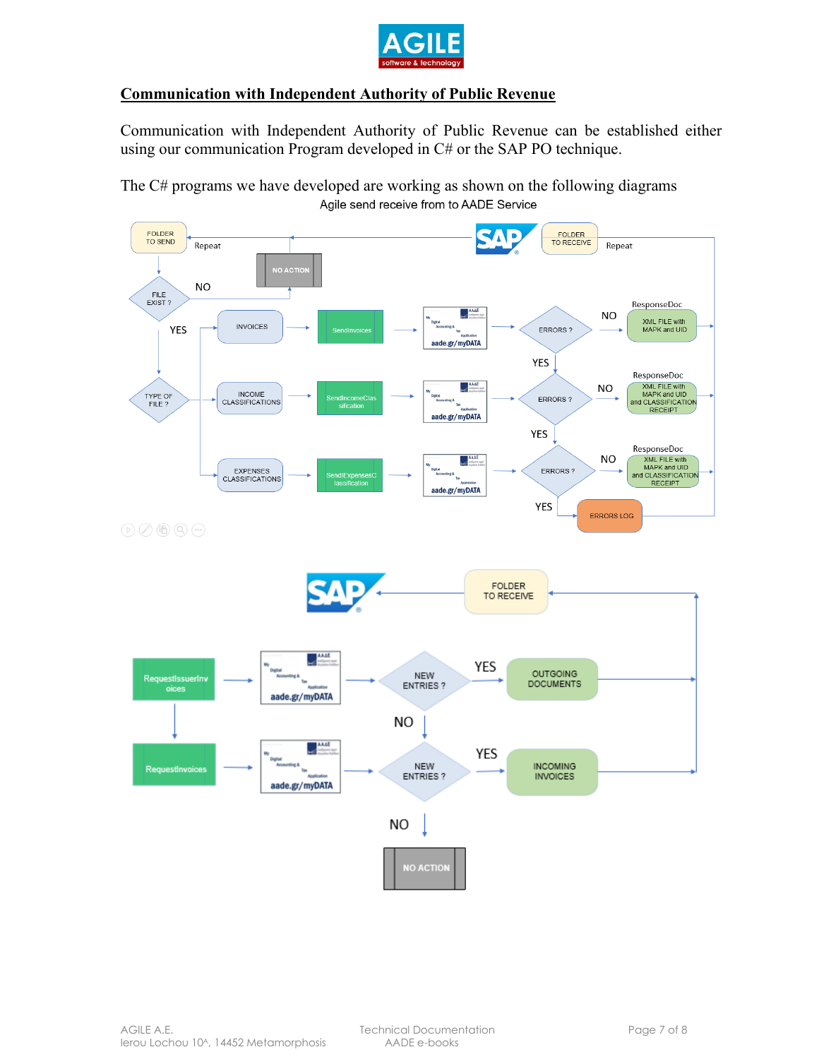

#### **Communication with Independent Authority of Public Revenue**

Communication with Independent Authority of Public Revenue can be established either using our communication Program developed in C# or the SAP PO technique.

The C# programs we have developed are working as shown on the following diagramsAgile send receive from to AADE Service